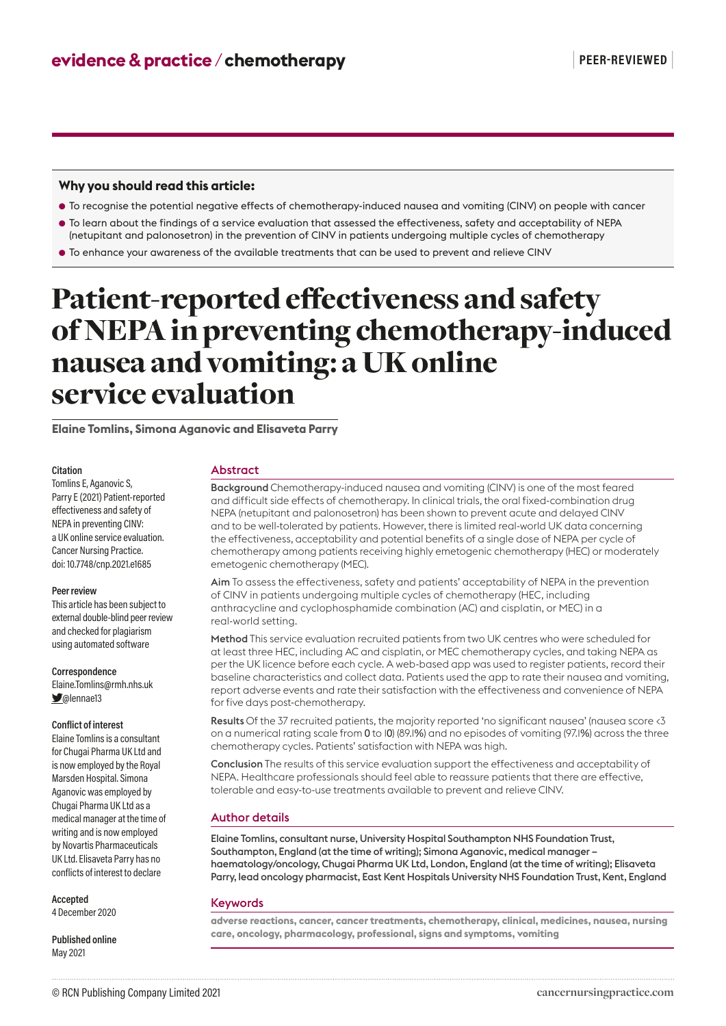# **Why you should read this article:**

- To recognise the potential negative effects of chemotherapy-induced nausea and vomiting (CINV) on people with cancer
- To learn about the findings of a service evaluation that assessed the effectiveness, safety and acceptability of NEPA (netupitant and palonosetron) in the prevention of CINV in patients undergoing multiple cycles of chemotherapy

● To enhance your awareness of the available treatments that can be used to prevent and relieve CINV

# Patient-reported effectiveness and safety of NEPA in preventing chemotherapy-induced nausea and vomiting: a UK online service evaluation

**Elaine Tomlins, Simona Aganovic and Elisaveta Parry**

#### **Citation**

Tomlins E, Aganovic S, Parry E (2021) Patient-reported effectiveness and safety of NEPA in preventing CINV: a UK online service evaluation. Cancer Nursing Practice. doi: 10.7748/cnp.2021.e1685

#### **Peer review**

This article has been subject to external double-blind peer review and checked for plagiarism using automated software

#### **Correspondence**

Elaine.Tomlins@rmh.nhs.uk  $\Box$ @lennae13

## **Conflict of interest**

Elaine Tomlins is a consultant for Chugai Pharma UK Ltd and is now employed by the Royal Marsden Hospital. Simona Aganovic was employed by Chugai Pharma UK Ltd as a medical manager at the time of writing and is now employed by Novartis Pharmaceuticals UK Ltd. Elisaveta Parry has no conflicts of interest to declare

#### **Accepted**

4 December 2020

**Published online**  May 2021

#### Abstract

Background Chemotherapy-induced nausea and vomiting (CINV) is one of the most feared and difficult side effects of chemotherapy. In clinical trials, the oral fixed-combination drug NEPA (netupitant and palonosetron) has been shown to prevent acute and delayed CINV and to be well-tolerated by patients. However, there is limited real-world UK data concerning the effectiveness, acceptability and potential benefits of a single dose of NEPA per cycle of chemotherapy among patients receiving highly emetogenic chemotherapy (HEC) or moderately emetogenic chemotherapy (MEC).

Aim To assess the effectiveness, safety and patients' acceptability of NEPA in the prevention of CINV in patients undergoing multiple cycles of chemotherapy (HEC, including anthracycline and cyclophosphamide combination (AC) and cisplatin, or MEC) in a real-world setting.

Method This service evaluation recruited patients from two UK centres who were scheduled for at least three HEC, including AC and cisplatin, or MEC chemotherapy cycles, and taking NEPA as per the UK licence before each cycle. A web-based app was used to register patients, record their baseline characteristics and collect data. Patients used the app to rate their nausea and vomiting, report adverse events and rate their satisfaction with the effectiveness and convenience of NEPA for five days post-chemotherapy.

Results Of the 37 recruited patients, the majority reported 'no significant nausea' (nausea score <3 on a numerical rating scale from 0 to 10) (89.1%) and no episodes of vomiting (97.1%) across the three chemotherapy cycles. Patients' satisfaction with NEPA was high.

Conclusion The results of this service evaluation support the effectiveness and acceptability of NEPA. Healthcare professionals should feel able to reassure patients that there are effective, tolerable and easy-to-use treatments available to prevent and relieve CINV.

# Author details

Elaine Tomlins, consultant nurse, University Hospital Southampton NHS Foundation Trust, Southampton, England (at the time of writing); Simona Aganovic, medical manager – haematology/oncology, Chugai Pharma UK Ltd, London, England (at the time of writing); Elisaveta Parry, lead oncology pharmacist, East Kent Hospitals University NHS Foundation Trust, Kent, England

### Keywords

**adverse reactions, cancer, cancer treatments, chemotherapy, clinical, medicines, nausea, nursing care, oncology, pharmacology, professional, signs and symptoms, vomiting**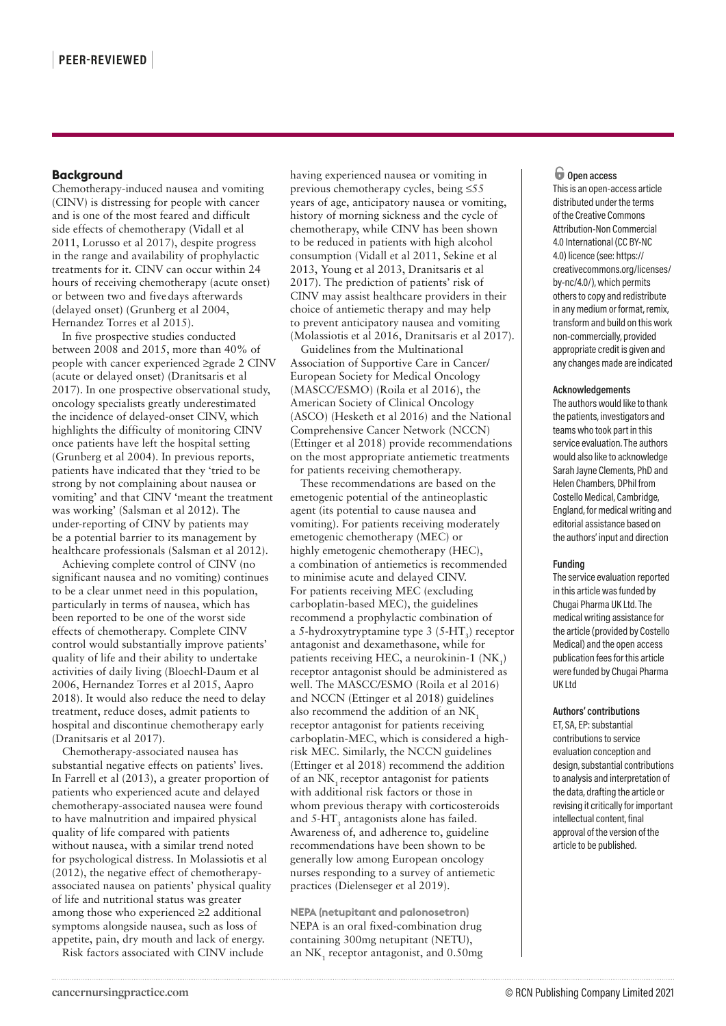# **Background**

Chemotherapy-induced nausea and vomiting (CINV) is distressing for people with cancer and is one of the most feared and difficult side effects of chemotherapy (Vidall et al 2011, Lorusso et al 2017), despite progress in the range and availability of prophylactic treatments for it. CINV can occur within 24 hours of receiving chemotherapy (acute onset) or between two and fivedays afterwards (delayed onset) (Grunberg et al 2004, Hernandez Torres et al 2015).

In five prospective studies conducted between 2008 and 2015, more than 40% of people with cancer experienced ≥grade 2 CINV (acute or delayed onset) (Dranitsaris et al 2017). In one prospective observational study, oncology specialists greatly underestimated the incidence of delayed-onset CINV, which highlights the difficulty of monitoring CINV once patients have left the hospital setting (Grunberg et al 2004). In previous reports, patients have indicated that they 'tried to be strong by not complaining about nausea or vomiting' and that CINV 'meant the treatment was working' (Salsman et al 2012). The under-reporting of CINV by patients may be a potential barrier to its management by healthcare professionals (Salsman et al 2012).

Achieving complete control of CINV (no significant nausea and no vomiting) continues to be a clear unmet need in this population, particularly in terms of nausea, which has been reported to be one of the worst side effects of chemotherapy. Complete CINV control would substantially improve patients' quality of life and their ability to undertake activities of daily living (Bloechl-Daum et al 2006, Hernandez Torres et al 2015, Aapro 2018). It would also reduce the need to delay treatment, reduce doses, admit patients to hospital and discontinue chemotherapy early (Dranitsaris et al 2017).

Chemotherapy-associated nausea has substantial negative effects on patients' lives. In Farrell et al (2013), a greater proportion of patients who experienced acute and delayed chemotherapy-associated nausea were found to have malnutrition and impaired physical quality of life compared with patients without nausea, with a similar trend noted for psychological distress. In Molassiotis et al (2012), the negative effect of chemotherapyassociated nausea on patients' physical quality of life and nutritional status was greater among those who experienced ≥2 additional symptoms alongside nausea, such as loss of appetite, pain, dry mouth and lack of energy.

Risk factors associated with CINV include

having experienced nausea or vomiting in previous chemotherapy cycles, being ≤55 years of age, anticipatory nausea or vomiting, history of morning sickness and the cycle of chemotherapy, while CINV has been shown to be reduced in patients with high alcohol consumption (Vidall et al 2011, Sekine et al 2013, Young et al 2013, Dranitsaris et al 2017). The prediction of patients' risk of CINV may assist healthcare providers in their choice of antiemetic therapy and may help to prevent anticipatory nausea and vomiting (Molassiotis et al 2016, Dranitsaris et al 2017).

Guidelines from the Multinational Association of Supportive Care in Cancer/ European Society for Medical Oncology (MASCC/ESMO) (Roila et al 2016), the American Society of Clinical Oncology (ASCO) (Hesketh et al 2016) and the National Comprehensive Cancer Network (NCCN) (Ettinger et al 2018) provide recommendations on the most appropriate antiemetic treatments for patients receiving chemotherapy.

These recommendations are based on the emetogenic potential of the antineoplastic agent (its potential to cause nausea and vomiting). For patients receiving moderately emetogenic chemotherapy (MEC) or highly emetogenic chemotherapy (HEC), a combination of antiemetics is recommended to minimise acute and delayed CINV. For patients receiving MEC (excluding carboplatin-based MEC), the guidelines recommend a prophylactic combination of a 5-hydroxytryptamine type 3 (5-HT<sub>3</sub>) receptor antagonist and dexamethasone, while for patients receiving HEC, a neurokinin-1  $(NK_1)$ receptor antagonist should be administered as well. The MASCC/ESMO (Roila et al 2016) and NCCN (Ettinger et al 2018) guidelines also recommend the addition of an NK<sub>1</sub> receptor antagonist for patients receiving carboplatin-MEC, which is considered a highrisk MEC. Similarly, the NCCN guidelines (Ettinger et al 2018) recommend the addition of an NK<sub>1</sub> receptor antagonist for patients with additional risk factors or those in whom previous therapy with corticosteroids and  $5$ -HT<sub>3</sub> antagonists alone has failed. Awareness of, and adherence to, guideline recommendations have been shown to be generally low among European oncology nurses responding to a survey of antiemetic practices (Dielenseger et al 2019).

**NEPA (netupitant and palonosetron)** NEPA is an oral fixed-combination drug containing 300mg netupitant (NETU), an  $NK_1$  receptor antagonist, and  $0.50$ mg

#### o **Open access**

This is an open-access article distributed under the terms of the Creative Commons Attribution-Non Commercial 4.0 International (CC BY-NC 4.0) licence (see: https:// creativecommons.org/licenses/ by-nc/4.0/), which permits others to copy and redistribute in any medium or format, remix, transform and build on this work non-commercially, provided appropriate credit is given and any changes made are indicated

#### **Acknowledgements**

The authors would like to thank the patients, investigators and teams who took part in this service evaluation. The authors would also like to acknowledge Sarah Jayne Clements, PhD and Helen Chambers, DPhil from Costello Medical, Cambridge, England, for medical writing and editorial assistance based on the authors' input and direction

#### **Funding**

The service evaluation reported in this article was funded by Chugai Pharma UK Ltd. The medical writing assistance for the article (provided by Costello Medical) and the open access publication fees for this article were funded by Chugai Pharma UK Ltd

# **Authors' contributions**

ET, SA, EP: substantial contributions to service evaluation conception and design, substantial contributions to analysis and interpretation of the data, drafting the article or revising it critically for important intellectual content, final approval of the version of the article to be published.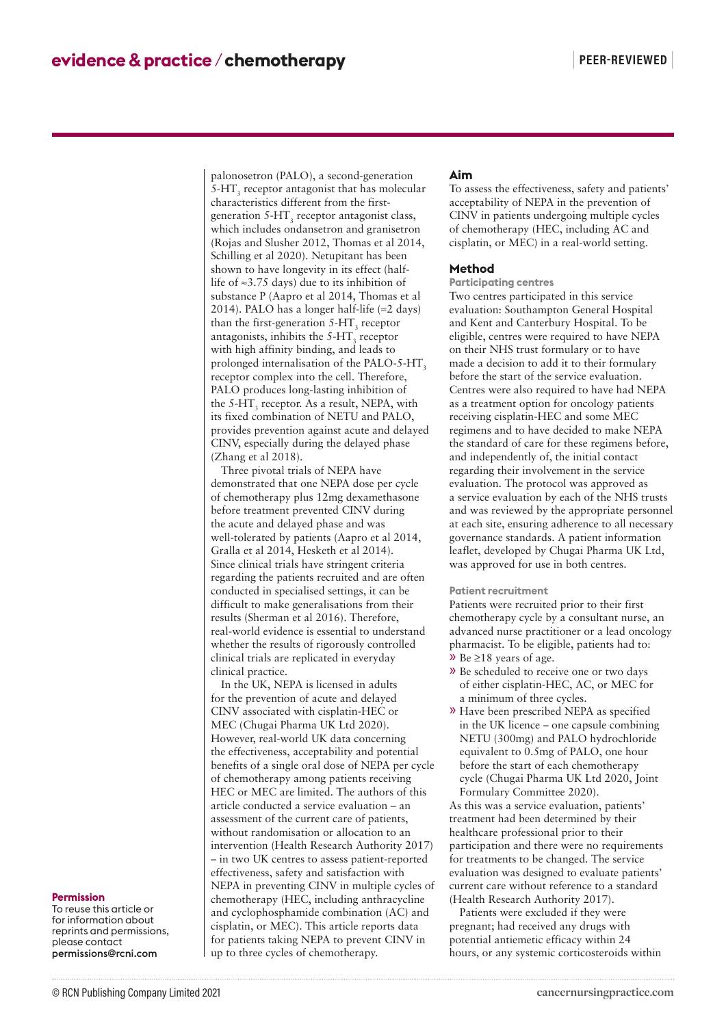palonosetron (PALO), a second-generation  $5$ -HT<sub>3</sub> receptor antagonist that has molecular characteristics different from the firstgeneration  $5-\text{HT}_3$  receptor antagonist class, which includes ondansetron and granisetron (Rojas and Slusher 2012, Thomas et al 2014, Schilling et al 2020). Netupitant has been shown to have longevity in its effect (halflife of ≈3.75 days) due to its inhibition of substance P (Aapro et al 2014, Thomas et al 2014). PALO has a longer half-life ( $\approx$ 2 days) than the first-generation  $5$ -HT<sub>3</sub> receptor antagonists, inhibits the  $5-HT_3$  receptor with high affinity binding, and leads to prolonged internalisation of the PALO-5-HT, receptor complex into the cell. Therefore, PALO produces long-lasting inhibition of the 5-HT<sub>3</sub> receptor. As a result, NEPA, with its fixed combination of NETU and PALO, provides prevention against acute and delayed CINV, especially during the delayed phase (Zhang et al 2018).

Three pivotal trials of NEPA have demonstrated that one NEPA dose per cycle of chemotherapy plus 12mg dexamethasone before treatment prevented CINV during the acute and delayed phase and was well-tolerated by patients (Aapro et al 2014, Gralla et al 2014, Hesketh et al 2014). Since clinical trials have stringent criteria regarding the patients recruited and are often conducted in specialised settings, it can be difficult to make generalisations from their results (Sherman et al 2016). Therefore, real-world evidence is essential to understand whether the results of rigorously controlled clinical trials are replicated in everyday clinical practice.

In the UK, NEPA is licensed in adults for the prevention of acute and delayed CINV associated with cisplatin-HEC or MEC (Chugai Pharma UK Ltd 2020). However, real-world UK data concerning the effectiveness, acceptability and potential benefits of a single oral dose of NEPA per cycle of chemotherapy among patients receiving HEC or MEC are limited. The authors of this article conducted a service evaluation – an assessment of the current care of patients, without randomisation or allocation to an intervention (Health Research Authority 2017) – in two UK centres to assess patient-reported effectiveness, safety and satisfaction with NEPA in preventing CINV in multiple cycles of chemotherapy (HEC, including anthracycline and cyclophosphamide combination (AC) and cisplatin, or MEC). This article reports data for patients taking NEPA to prevent CINV in up to three cycles of chemotherapy.

# **Aim**

To assess the effectiveness, safety and patients' acceptability of NEPA in the prevention of CINV in patients undergoing multiple cycles of chemotherapy (HEC, including AC and cisplatin, or MEC) in a real-world setting.

# **Method**

#### **Participating centres**

Two centres participated in this service evaluation: Southampton General Hospital and Kent and Canterbury Hospital. To be eligible, centres were required to have NEPA on their NHS trust formulary or to have made a decision to add it to their formulary before the start of the service evaluation. Centres were also required to have had NEPA as a treatment option for oncology patients receiving cisplatin-HEC and some MEC regimens and to have decided to make NEPA the standard of care for these regimens before, and independently of, the initial contact regarding their involvement in the service evaluation. The protocol was approved as a service evaluation by each of the NHS trusts and was reviewed by the appropriate personnel at each site, ensuring adherence to all necessary governance standards. A patient information leaflet, developed by Chugai Pharma UK Ltd, was approved for use in both centres.

#### **Patient recruitment**

Patients were recruited prior to their first chemotherapy cycle by a consultant nurse, an advanced nurse practitioner or a lead oncology pharmacist. To be eligible, patients had to: » Be ≥18 years of age.

- » Be scheduled to receive one or two days of either cisplatin-HEC, AC, or MEC for a minimum of three cycles.
- » Have been prescribed NEPA as specified in the UK licence – one capsule combining NETU (300mg) and PALO hydrochloride equivalent to 0.5mg of PALO, one hour before the start of each chemotherapy cycle (Chugai Pharma UK Ltd 2020, Joint Formulary Committee 2020).

As this was a service evaluation, patients' treatment had been determined by their healthcare professional prior to their participation and there were no requirements for treatments to be changed. The service evaluation was designed to evaluate patients' current care without reference to a standard (Health Research Authority 2017).

Patients were excluded if they were pregnant; had received any drugs with potential antiemetic efficacy within 24 hours, or any systemic corticosteroids within

#### **Permission**

To reuse this article or for information about reprints and permissions, please contact permissions@rcni.com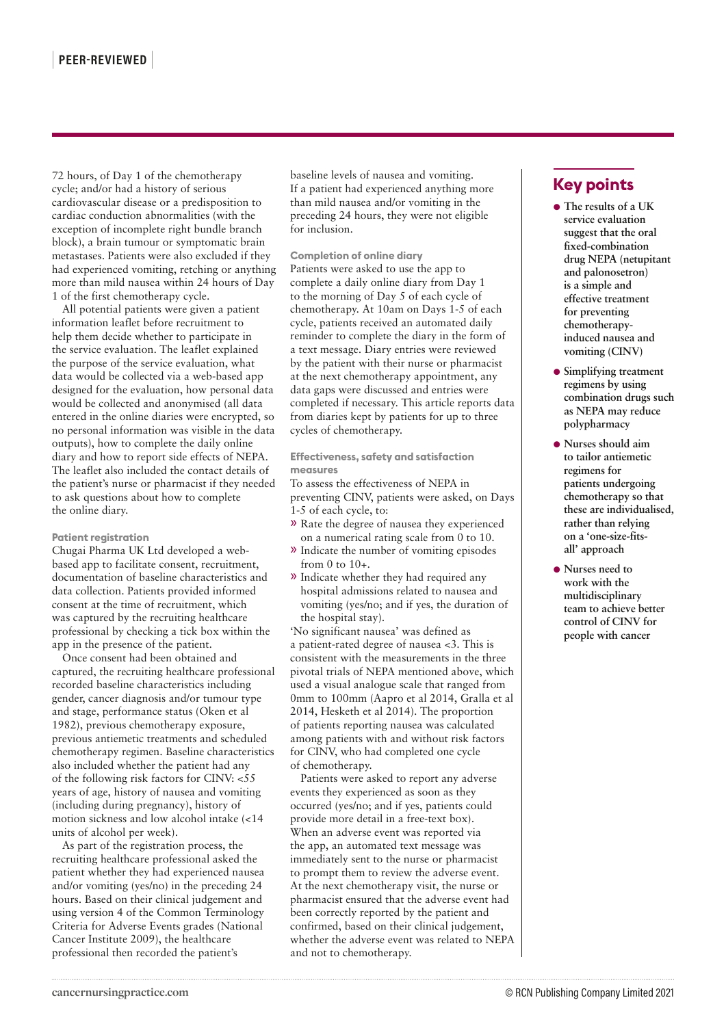72 hours, of Day 1 of the chemotherapy cycle; and/or had a history of serious cardiovascular disease or a predisposition to cardiac conduction abnormalities (with the exception of incomplete right bundle branch block), a brain tumour or symptomatic brain metastases. Patients were also excluded if they had experienced vomiting, retching or anything more than mild nausea within 24 hours of Day 1 of the first chemotherapy cycle.

All potential patients were given a patient information leaflet before recruitment to help them decide whether to participate in the service evaluation. The leaflet explained the purpose of the service evaluation, what data would be collected via a web-based app designed for the evaluation, how personal data would be collected and anonymised (all data entered in the online diaries were encrypted, so no personal information was visible in the data outputs), how to complete the daily online diary and how to report side effects of NEPA. The leaflet also included the contact details of the patient's nurse or pharmacist if they needed to ask questions about how to complete the online diary.

### **Patient registration**

Chugai Pharma UK Ltd developed a webbased app to facilitate consent, recruitment, documentation of baseline characteristics and data collection. Patients provided informed consent at the time of recruitment, which was captured by the recruiting healthcare professional by checking a tick box within the app in the presence of the patient.

Once consent had been obtained and captured, the recruiting healthcare professional recorded baseline characteristics including gender, cancer diagnosis and/or tumour type and stage, performance status (Oken et al 1982), previous chemotherapy exposure, previous antiemetic treatments and scheduled chemotherapy regimen. Baseline characteristics also included whether the patient had any of the following risk factors for CINV: <55 years of age, history of nausea and vomiting (including during pregnancy), history of motion sickness and low alcohol intake (<14 units of alcohol per week).

As part of the registration process, the recruiting healthcare professional asked the patient whether they had experienced nausea and/or vomiting (yes/no) in the preceding 24 hours. Based on their clinical judgement and using version 4 of the Common Terminology Criteria for Adverse Events grades (National Cancer Institute 2009), the healthcare professional then recorded the patient's

baseline levels of nausea and vomiting. If a patient had experienced anything more than mild nausea and/or vomiting in the preceding 24 hours, they were not eligible for inclusion.

**Completion of online diary** Patients were asked to use the app to complete a daily online diary from Day 1 to the morning of Day 5 of each cycle of chemotherapy. At 10am on Days 1-5 of each cycle, patients received an automated daily reminder to complete the diary in the form of a text message. Diary entries were reviewed by the patient with their nurse or pharmacist at the next chemotherapy appointment, any data gaps were discussed and entries were completed if necessary. This article reports data from diaries kept by patients for up to three cycles of chemotherapy.

**Effectiveness, safety and satisfaction measures**

To assess the effectiveness of NEPA in preventing CINV, patients were asked, on Days 1-5 of each cycle, to:

- » Rate the degree of nausea they experienced on a numerical rating scale from 0 to 10.
- » Indicate the number of vomiting episodes from 0 to 10+.
- » Indicate whether they had required any hospital admissions related to nausea and vomiting (yes/no; and if yes, the duration of the hospital stay).

'No significant nausea' was defined as a patient-rated degree of nausea <3. This is consistent with the measurements in the three pivotal trials of NEPA mentioned above, which used a visual analogue scale that ranged from 0mm to 100mm (Aapro et al 2014, Gralla et al 2014, Hesketh et al 2014). The proportion of patients reporting nausea was calculated among patients with and without risk factors for CINV, who had completed one cycle of chemotherapy.

Patients were asked to report any adverse events they experienced as soon as they occurred (yes/no; and if yes, patients could provide more detail in a free-text box). When an adverse event was reported via the app, an automated text message was immediately sent to the nurse or pharmacist to prompt them to review the adverse event. At the next chemotherapy visit, the nurse or pharmacist ensured that the adverse event had been correctly reported by the patient and confirmed, based on their clinical judgement, whether the adverse event was related to NEPA and not to chemotherapy.

# **Key points**

- **The results of a UK service evaluation suggest that the oral fixed-combination drug NEPA (netupitant and palonosetron) is a simple and effective treatment for preventing chemotherapyinduced nausea and vomiting (CINV)**
- **Simplifying treatment regimens by using combination drugs such as NEPA may reduce polypharmacy**
- **Nurses should aim to tailor antiemetic regimens for patients undergoing chemotherapy so that these are individualised, rather than relying on a 'one-size-fitsall' approach**
- **Nurses need to work with the multidisciplinary team to achieve better control of CINV for people with cancer**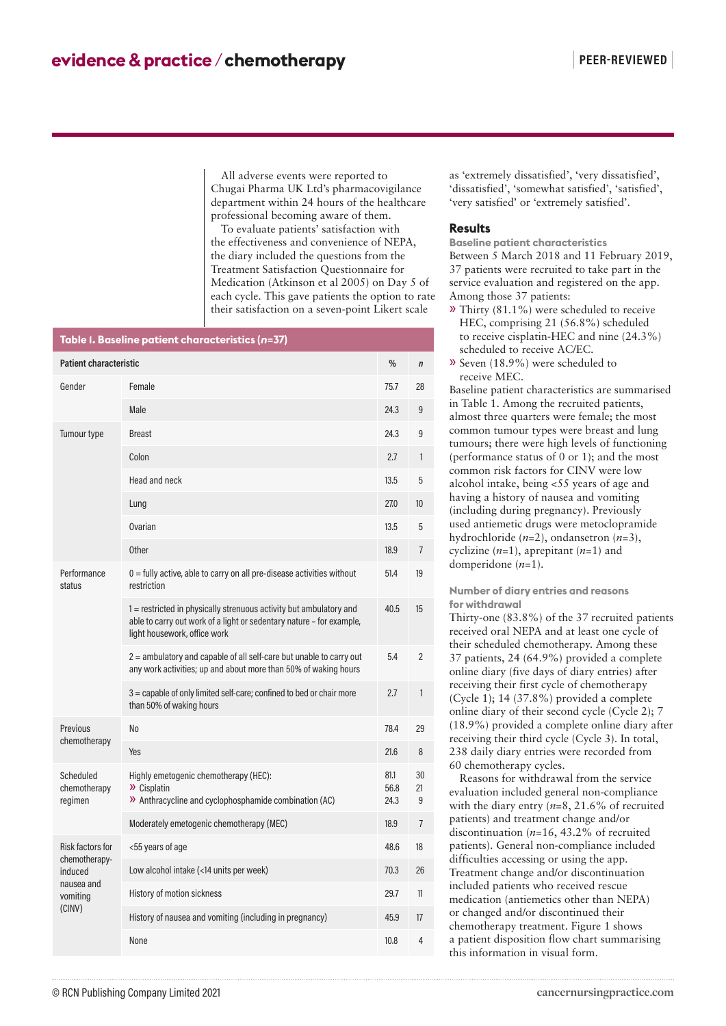All adverse events were reported to Chugai Pharma UK Ltd's pharmacovigilance department within 24 hours of the healthcare professional becoming aware of them.

To evaluate patients' satisfaction with the effectiveness and convenience of NEPA, the diary included the questions from the Treatment Satisfaction Questionnaire for Medication (Atkinson et al 2005) on Day 5 of each cycle. This gave patients the option to rate their satisfaction on a seven-point Likert scale

| Table I. Baseline patient characteristics (n=37)                                 |                                                                                                                                                                            |                      |                |  |  |  |  |  |  |  |
|----------------------------------------------------------------------------------|----------------------------------------------------------------------------------------------------------------------------------------------------------------------------|----------------------|----------------|--|--|--|--|--|--|--|
| <b>Patient characteristic</b>                                                    |                                                                                                                                                                            |                      |                |  |  |  |  |  |  |  |
| Gender                                                                           | Female                                                                                                                                                                     | 75.7                 | 28             |  |  |  |  |  |  |  |
|                                                                                  | Male                                                                                                                                                                       | 24.3                 | 9              |  |  |  |  |  |  |  |
| Tumour type                                                                      | <b>Breast</b>                                                                                                                                                              | 24.3                 | 9              |  |  |  |  |  |  |  |
|                                                                                  | Colon                                                                                                                                                                      | 2.7                  | 1              |  |  |  |  |  |  |  |
|                                                                                  | Head and neck                                                                                                                                                              | 13.5                 | 5              |  |  |  |  |  |  |  |
|                                                                                  | Lung                                                                                                                                                                       | 27.0                 | 10             |  |  |  |  |  |  |  |
|                                                                                  | Ovarian                                                                                                                                                                    | 13.5                 | 5              |  |  |  |  |  |  |  |
|                                                                                  | <b>Other</b>                                                                                                                                                               | 18.9                 | $\overline{7}$ |  |  |  |  |  |  |  |
| Performance<br>status                                                            | $0 =$ fully active, able to carry on all pre-disease activities without<br>restriction                                                                                     | 51.4                 | 19             |  |  |  |  |  |  |  |
|                                                                                  | 1 = restricted in physically strenuous activity but ambulatory and<br>able to carry out work of a light or sedentary nature - for example,<br>light housework, office work | 40.5                 | 15             |  |  |  |  |  |  |  |
|                                                                                  | 2 = ambulatory and capable of all self-care but unable to carry out<br>any work activities; up and about more than 50% of waking hours                                     | 5.4                  | 2              |  |  |  |  |  |  |  |
|                                                                                  | 3 = capable of only limited self-care; confined to bed or chair more<br>than 50% of waking hours                                                                           | 2.7                  | 1              |  |  |  |  |  |  |  |
| Previous<br>chemotherapy                                                         | No                                                                                                                                                                         | 78.4                 | 29             |  |  |  |  |  |  |  |
|                                                                                  | <b>Yes</b>                                                                                                                                                                 | 21.6                 | 8              |  |  |  |  |  |  |  |
| Scheduled<br>chemotherapy<br>regimen                                             | Highly emetogenic chemotherapy (HEC):<br>$\lambda$ Cisplatin<br>>> Anthracycline and cyclophosphamide combination (AC)                                                     | 81.1<br>56.8<br>24.3 | 30<br>21<br>9  |  |  |  |  |  |  |  |
|                                                                                  | Moderately emetogenic chemotherapy (MEC)                                                                                                                                   | 18.9                 | $\overline{7}$ |  |  |  |  |  |  |  |
| Risk factors for<br>chemotherapy-<br>induced<br>nausea and<br>vomiting<br>(CINV) | <55 years of age                                                                                                                                                           | 48.6                 | 18             |  |  |  |  |  |  |  |
|                                                                                  | Low alcohol intake (<14 units per week)                                                                                                                                    | 70.3                 | 26             |  |  |  |  |  |  |  |
|                                                                                  | History of motion sickness                                                                                                                                                 | 29.7                 | 11             |  |  |  |  |  |  |  |
|                                                                                  | History of nausea and vomiting (including in pregnancy)                                                                                                                    | 45.9                 | 17             |  |  |  |  |  |  |  |
|                                                                                  | None                                                                                                                                                                       | 10.8                 | 4              |  |  |  |  |  |  |  |

as 'extremely dissatisfied', 'very dissatisfied', 'dissatisfied', 'somewhat satisfied', 'satisfied', 'very satisfied' or 'extremely satisfied'.

# **Results**

**Baseline patient characteristics** Between 5 March 2018 and 11 February 2019, 37 patients were recruited to take part in the service evaluation and registered on the app. Among those 37 patients:

- » Thirty (81.1%) were scheduled to receive HEC, comprising 21 (56.8%) scheduled to receive cisplatin-HEC and nine (24.3%) scheduled to receive AC/EC.
- » Seven (18.9%) were scheduled to receive MEC.

Baseline patient characteristics are summarised in Table 1. Among the recruited patients, almost three quarters were female; the most common tumour types were breast and lung tumours; there were high levels of functioning (performance status of 0 or 1); and the most common risk factors for CINV were low alcohol intake, being <55 years of age and having a history of nausea and vomiting (including during pregnancy). Previously used antiemetic drugs were metoclopramide hydrochloride (*n*=2), ondansetron (*n*=3), cyclizine (*n*=1), aprepitant (*n*=1) and domperidone (*n*=1).

**Number of diary entries and reasons for withdrawal**

Thirty-one (83.8%) of the 37 recruited patients received oral NEPA and at least one cycle of their scheduled chemotherapy. Among these 37 patients, 24 (64.9%) provided a complete online diary (five days of diary entries) after receiving their first cycle of chemotherapy (Cycle 1); 14 (37.8%) provided a complete online diary of their second cycle (Cycle 2); 7 (18.9%) provided a complete online diary after receiving their third cycle (Cycle 3). In total, 238 daily diary entries were recorded from 60 chemotherapy cycles.

Reasons for withdrawal from the service evaluation included general non-compliance with the diary entry (*n*=8, 21.6% of recruited patients) and treatment change and/or discontinuation (*n*=16, 43.2% of recruited patients). General non-compliance included difficulties accessing or using the app. Treatment change and/or discontinuation included patients who received rescue medication (antiemetics other than NEPA) or changed and/or discontinued their chemotherapy treatment. Figure 1 shows a patient disposition flow chart summarising this information in visual form.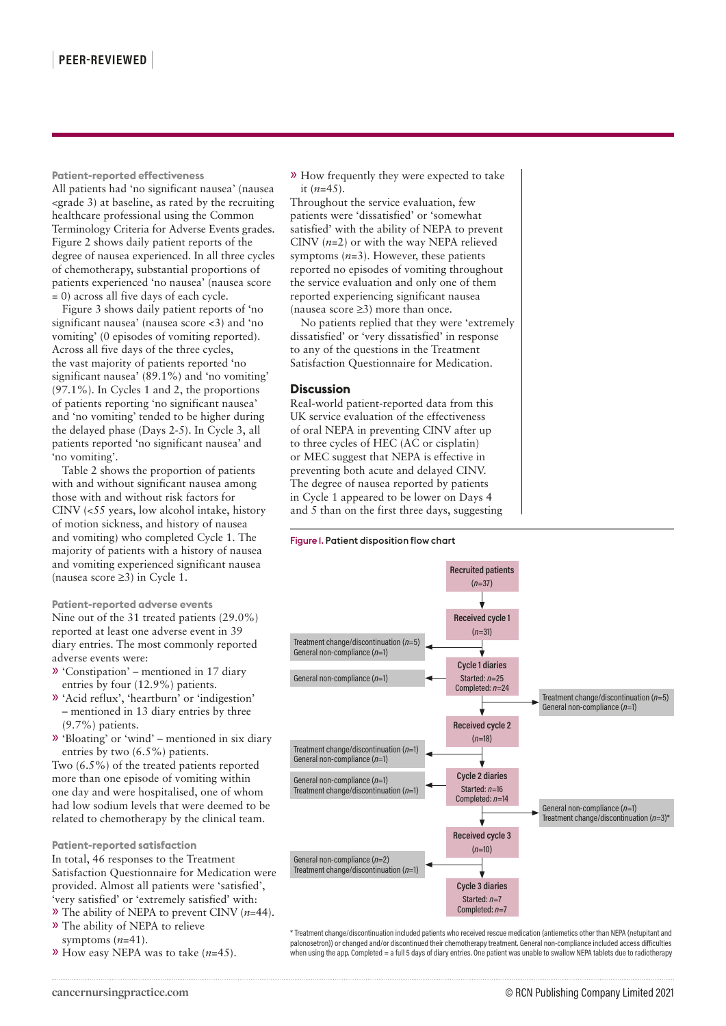**Patient-reported effectiveness** All patients had 'no significant nausea' (nausea <grade 3) at baseline, as rated by the recruiting healthcare professional using the Common Terminology Criteria for Adverse Events grades. Figure 2 shows daily patient reports of the degree of nausea experienced. In all three cycles of chemotherapy, substantial proportions of patients experienced 'no nausea' (nausea score = 0) across all five days of each cycle.

Figure 3 shows daily patient reports of 'no significant nausea' (nausea score <3) and 'no vomiting' (0 episodes of vomiting reported). Across all five days of the three cycles, the vast majority of patients reported 'no significant nausea' (89.1%) and 'no vomiting' (97.1%). In Cycles 1 and 2, the proportions of patients reporting 'no significant nausea' and 'no vomiting' tended to be higher during the delayed phase (Days 2-5). In Cycle 3, all patients reported 'no significant nausea' and 'no vomiting'.

Table 2 shows the proportion of patients with and without significant nausea among those with and without risk factors for CINV (<55 years, low alcohol intake, history of motion sickness, and history of nausea and vomiting) who completed Cycle 1. The majority of patients with a history of nausea and vomiting experienced significant nausea (nausea score ≥3) in Cycle 1.

# **Patient-reported adverse events**

Nine out of the 31 treated patients (29.0%) reported at least one adverse event in 39 diary entries. The most commonly reported adverse events were:

- » 'Constipation' mentioned in 17 diary entries by four (12.9%) patients.
- » 'Acid reflux', 'heartburn' or 'indigestion' – mentioned in 13 diary entries by three (9.7%) patients.
- » 'Bloating' or 'wind' mentioned in six diary entries by two (6.5%) patients.

Two (6.5%) of the treated patients reported more than one episode of vomiting within one day and were hospitalised, one of whom had low sodium levels that were deemed to be related to chemotherapy by the clinical team.

## **Patient-reported satisfaction** In total, 46 responses to the Treatment Satisfaction Questionnaire for Medication were provided. Almost all patients were 'satisfied', 'very satisfied' or 'extremely satisfied' with: » The ability of NEPA to prevent CINV (*n*=44).

- » The ability of NEPA to relieve
- symptoms (*n*=41).
- » How easy NEPA was to take (*n*=45).

» How frequently they were expected to take it (*n*=45).

Throughout the service evaluation, few patients were 'dissatisfied' or 'somewhat satisfied' with the ability of NEPA to prevent CINV  $(n=2)$  or with the way NEPA relieved symptoms (*n*=3). However, these patients reported no episodes of vomiting throughout the service evaluation and only one of them reported experiencing significant nausea (nausea score ≥3) more than once.

No patients replied that they were 'extremely dissatisfied' or 'very dissatisfied' in response to any of the questions in the Treatment Satisfaction Questionnaire for Medication.

# **Discussion**

Real-world patient-reported data from this UK service evaluation of the effectiveness of oral NEPA in preventing CINV after up to three cycles of HEC (AC or cisplatin) or MEC suggest that NEPA is effective in preventing both acute and delayed CINV. The degree of nausea reported by patients in Cycle 1 appeared to be lower on Days 4 and 5 than on the first three days, suggesting

# Figure 1. Patient disposition flow chart



\* Treatment change/discontinuation included patients who received rescue medication (antiemetics other than NEPA (netupitant and palonosetron)) or changed and/or discontinued their chemotherapy treatment. General non-compliance included access difficulties when using the app. Completed = a full 5 days of diary entries. One patient was unable to swallow NEPA tablets due to radiotherapy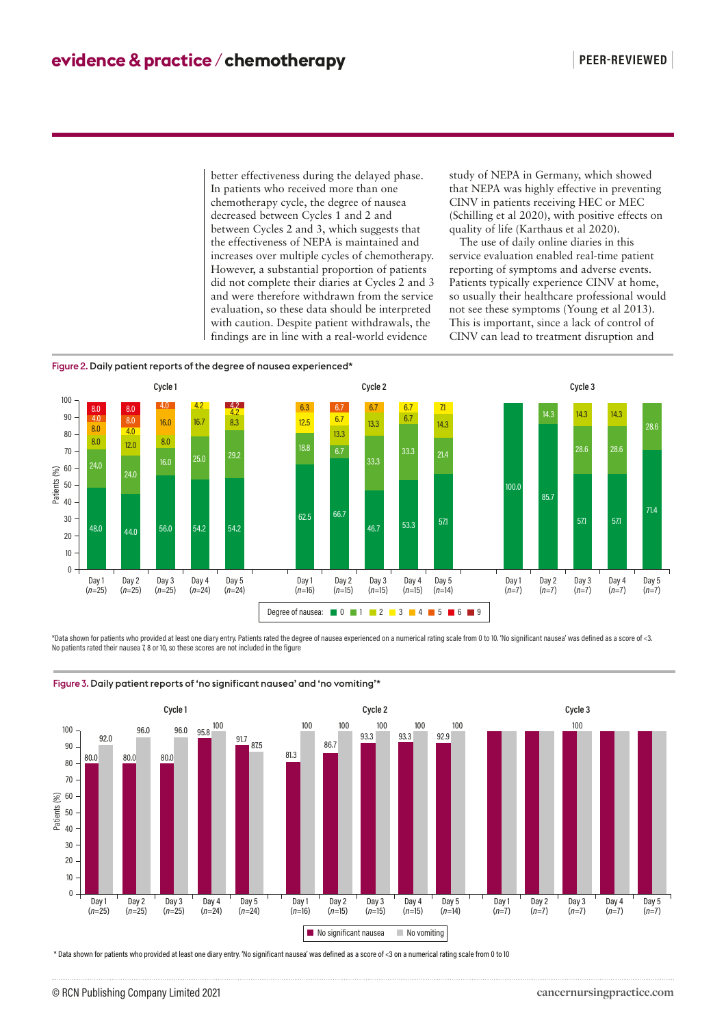better effectiveness during the delayed phase. In patients who received more than one chemotherapy cycle, the degree of nausea decreased between Cycles 1 and 2 and between Cycles 2 and 3, which suggests that the effectiveness of NEPA is maintained and increases over multiple cycles of chemotherapy. However, a substantial proportion of patients did not complete their diaries at Cycles 2 and 3 and were therefore withdrawn from the service evaluation, so these data should be interpreted with caution. Despite patient withdrawals, the findings are in line with a real-world evidence

study of NEPA in Germany, which showed that NEPA was highly effective in preventing CINV in patients receiving HEC or MEC (Schilling et al 2020), with positive effects on quality of life (Karthaus et al 2020).

The use of daily online diaries in this service evaluation enabled real-time patient reporting of symptoms and adverse events. Patients typically experience CINV at home, so usually their healthcare professional would not see these symptoms (Young et al 2013). This is important, since a lack of control of CINV can lead to treatment disruption and





\*Data shown for patients who provided at least one diary entry. Patients rated the degree of nausea experienced on a numerical rating scale from 0 to 10. 'No significant nausea' was defined as a score of <3. No patients rated their nausea 7, 8 or 10, so these scores are not included in the figure



Figure 3. Daily patient reports of 'no significant nausea' and 'no vomiting'\*

\* Data shown for patients who provided at least one diary entry. 'No significant nausea' was defined as a score of <3 on a numerical rating scale from 0 to 10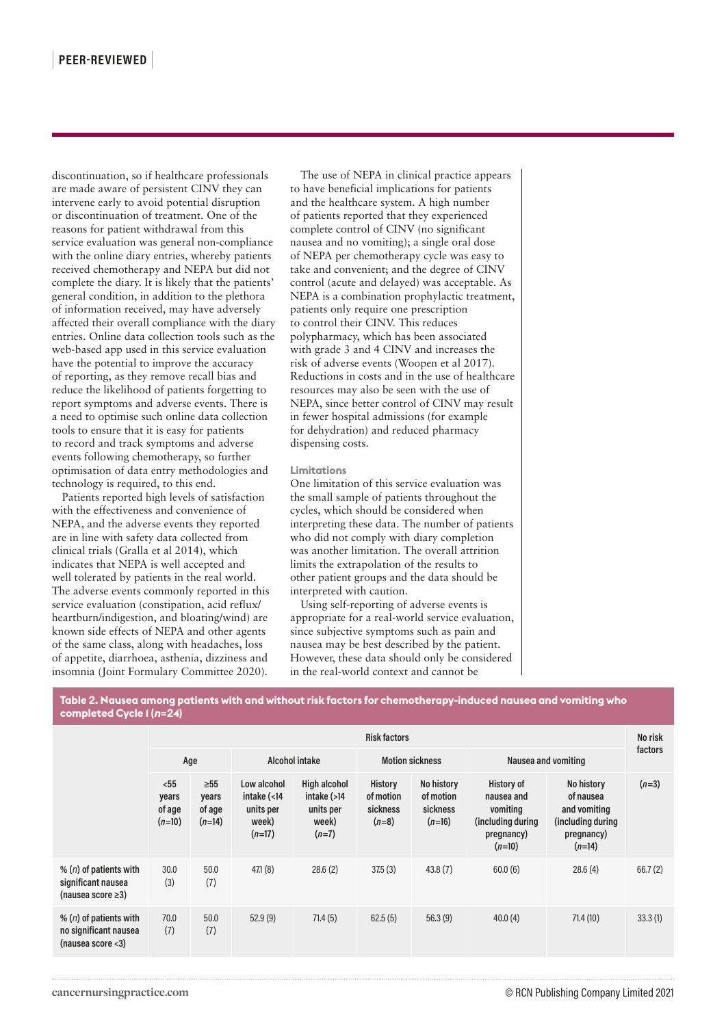discontinuation, so if healthcare professionals are made aware of persistent CINV they can intervene early to avoid potential disruption or discontinuation of treatment. One of the reasons for patient withdrawal from this service evaluation was general non-compliance with the online diary entries, whereby patients received chemotherapy and NEPA but did not complete the diary. It is likely that the patients' general condition, in addition to the plethora of information received, may have adversely affected their overall compliance with the diary entries. Online data collection tools such as the web-based app used in this service evaluation have the potential to improve the accuracy of reporting, as they remove recall bias and reduce the likelihood of patients forgetting to report symptoms and adverse events. There is a need to optimise such online data collection tools to ensure that it is easy for patients to record and track symptoms and adverse events following chemotherapy, so further optimisation of data entry methodologies and technology is required, to this end.

Patients reported high levels of satisfaction with the effectiveness and convenience of NEPA, and the adverse events they reported are in line with safety data collected from clinical trials (Gralla et al 2014), which indicates that NEPA is well accepted and well tolerated by patients in the real world. The adverse events commonly reported in this service evaluation (constipation, acid reflux/ heartburn/indigestion, and bloating/wind) are known side effects of NEPA and other agents of the same class, along with headaches, loss of appetite, diarrhoea, asthenia, dizziness and insomnia (Joint Formulary Committee 2020).

The use of NEPA in clinical practice appears to have beneficial implications for patients and the healthcare system. A high number of patients reported that they experienced complete control of CINV (no significant nausea and no vomiting); a single oral dose of NEPA per chemotherapy cycle was easy to take and convenient; and the degree of CINV control (acute and delayed) was acceptable. As NEPA is a combination prophylactic treatment, patients only require one prescription to control their CINV. This reduces polypharmacy, which has been associated with grade 3 and 4 CINV and increases the risk of adverse events (Woopen et al 2017). Reductions in costs and in the use of healthcare resources may also be seen with the use of NEPA, since better control of CINV may result in fewer hospital admissions (for example for dehydration) and reduced pharmacy dispensing costs.

#### **Limitations**

One limitation of this service evaluation was the small sample of patients throughout the cycles, which should be considered when interpreting these data. The number of patients who did not comply with diary completion was another limitation. The overall attrition limits the extrapolation of the results to other patient groups and the data should be interpreted with caution.

Using self-reporting of adverse events is appropriate for a real-world service evaluation, since subjective symptoms such as pain and nausea may be best described by the patient. However, these data should only be considered in the real-world context and cannot be

**Table 2. Nausea among patients with and without risk factors for chemotherapy-induced nausea and vomiting who completed Cycle 1 (***n***=24)**

|                                                                             | <b>Risk factors</b>                 |                                          |                                                                               |                                                                        |                                             |                                                 |                                                                                             |                                                                                        |         |
|-----------------------------------------------------------------------------|-------------------------------------|------------------------------------------|-------------------------------------------------------------------------------|------------------------------------------------------------------------|---------------------------------------------|-------------------------------------------------|---------------------------------------------------------------------------------------------|----------------------------------------------------------------------------------------|---------|
|                                                                             | Age                                 |                                          | Alcohol intake                                                                |                                                                        | <b>Motion sickness</b>                      |                                                 | Nausea and vomiting                                                                         |                                                                                        | factors |
|                                                                             | $55$<br>years<br>of age<br>$(n=10)$ | $\geq 55$<br>years<br>of age<br>$(n=14)$ | Low alcohol<br>intake $\left( < 14 \right)$<br>units per<br>week)<br>$(n=17)$ | <b>High alcohol</b><br>intake $(>14)$<br>units per<br>week)<br>$(n=7)$ | History<br>of motion<br>sickness<br>$(n=8)$ | No history<br>of motion<br>sickness<br>$(n=16)$ | <b>History of</b><br>nausea and<br>vomiting<br>(including during)<br>pregnancy)<br>$(n=10)$ | No history<br>of nausea<br>and vomiting<br>(including during<br>pregnancy)<br>$(n=14)$ | $(n=3)$ |
| % ( $n$ ) of patients with<br>significant nausea<br>(nausea score $\geq$ 3) | 30.0<br>(3)                         | 50.0<br>(7)                              | 471(8)                                                                        | 28.6(2)                                                                | 37.5(3)                                     | 43.8(7)                                         | 60.0(6)                                                                                     | 28.6(4)                                                                                | 66.7(2) |
| % ( $n$ ) of patients with<br>no significant nausea<br>(nausea score $<$ 3) | 70.0<br>(7)                         | 50.0<br>(7)                              | 52.9(9)                                                                       | 71.4(5)                                                                | 62.5(5)                                     | 56.3(9)                                         | 40.0(4)                                                                                     | 71.4(10)                                                                               | 33.3(1) |